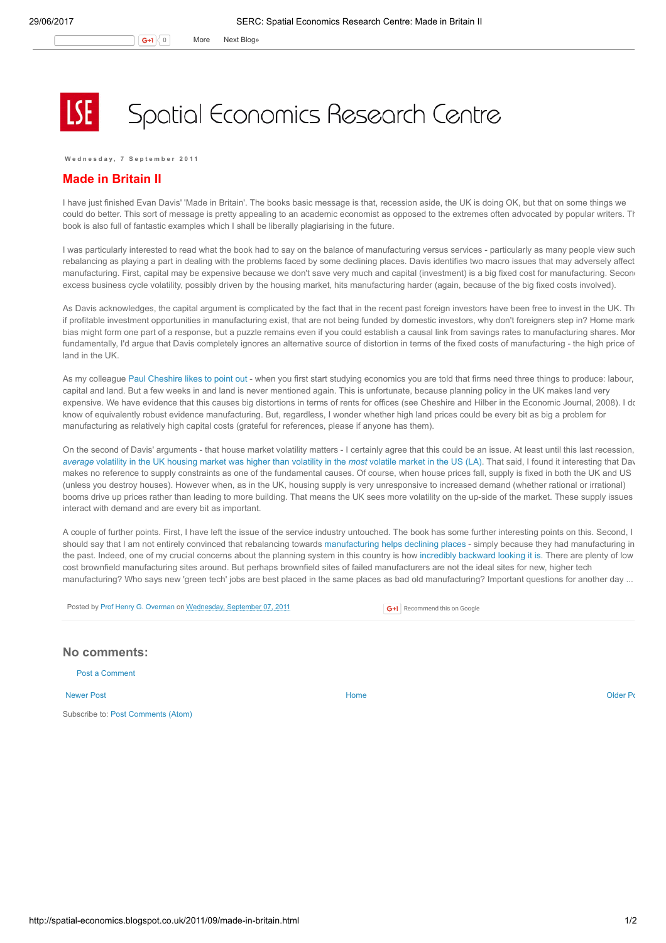## Spatial Economics Research Centre

Wednesday, 7 September 2011

## Made in Britain II

I have just finished Evan Davis' 'Made in Britain'. The books basic message is that, recession aside, the UK is doing OK, but that on some things we could do better. This sort of message is pretty appealing to an academic economist as opposed to the extremes often advocated by popular writers. The book is also full of fantastic examples which I shall be liberally plagiarising in the future.

I was particularly interested to read what the book had to say on the balance of manufacturing versus services - particularly as many people view such rebalancing as playing a part in dealing with the problems faced by some declining places. Davis identifies two macro issues that may adversely affect manufacturing. First, capital may be expensive because we don't save very much and capital (investment) is a big fixed cost for manufacturing. Second excess business cycle volatility, possibly driven by the housing market, hits manufacturing harder (again, because of the big fixed costs involved).

As Davis acknowledges, the capital argument is complicated by the fact that in the recent past foreign investors have been free to invest in the UK. Th if profitable investment opportunities in manufacturing exist, that are not being funded by domestic investors, why don't foreigners step in? Home mark bias might form one part of a response, but a puzzle remains even if you could establish a causal link from savings rates to manufacturing shares. More fundamentally, I'd argue that Davis completely ignores an alternative source of distortion in terms of the fixed costs of manufacturing - the high price of land in the UK.

As my colleague Paul [Cheshire](http://www.spatialeconomics.ac.uk/textonly/SERC/publications/download/sercdp0066.pdf) likes to point out - when you first start studying economics you are told that firms need three things to produce: labour, capital and land. But a few weeks in and land is never mentioned again. This is unfortunate, because planning policy in the UK makes land very expensive. We have evidence that this causes big distortions in terms of rents for offices (see Cheshire and Hilber in the Economic Journal, 2008). I do know of equivalently robust evidence manufacturing. But, regardless, I wonder whether high land prices could be every bit as big a problem for manufacturing as relatively high capital costs (grateful for references, please if anyone has them).

On the second of Davis' arguments - that house market volatility matters - I certainly agree that this could be an issue. At least until this last recession, [average](http://www.spatialeconomics.ac.uk/textonly/SERC/publications/download/sercpp004.pdf) volatility in the UK housing market was higher than volatility in the most volatile market in the US (LA). That said, I found it interesting that Day makes no reference to supply constraints as one of the fundamental causes. Of course, when house prices fall, supply is fixed in both the UK and US (unless you destroy houses). However when, as in the UK, housing supply is very unresponsive to increased demand (whether rational or irrational) booms drive up prices rather than leading to more building. That means the UK sees more volatility on the up-side of the market. These supply issues interact with demand and are every bit as important.

A couple of further points. First, I have left the issue of the service industry untouched. The book has some further interesting points on this. Second, I should say that I am not entirely convinced that rebalancing towards [manufacturing](http://spatial-economics.blogspot.com/2011/05/made-in-britain.html) helps declining places - simply because they had manufacturing in the past. Indeed, one of my crucial concerns about the planning system in this country is how incredibly [backward](http://spatial-economics.blogspot.com/2011/07/national-planning.html) looking it is. There are plenty of low cost brownfield manufacturing sites around. But perhaps brownfield sites of failed manufacturers are not the ideal sites for new, higher tech manufacturing? Who says new 'green tech' jobs are best placed in the same places as bad old manufacturing? Important questions for another day ...

Posted by Prof Henry G. [Overman](https://www.blogger.com/profile/15203876610491317062) on [Wednesday,](http://spatial-economics.blogspot.co.uk/2011/09/made-in-britain.html) September 07, 2011

**G+1** Recommend this on Google

## No comments:

Post a [Comment](https://www.blogger.com/comment.g?blogID=974562301377041914&postID=3671492867582767544)

[Newer](http://spatial-economics.blogspot.co.uk/2011/09/youve-been-trumped.html) Post and the contract of the contract of the contract [Home](http://spatial-economics.blogspot.co.uk/) contract of the contract of the contract of the contract of the contract of the contract of the contract of the contract of the contract of the contract of t

Subscribe to: Post [Comments](http://spatial-economics.blogspot.com/feeds/3671492867582767544/comments/default) (Atom)